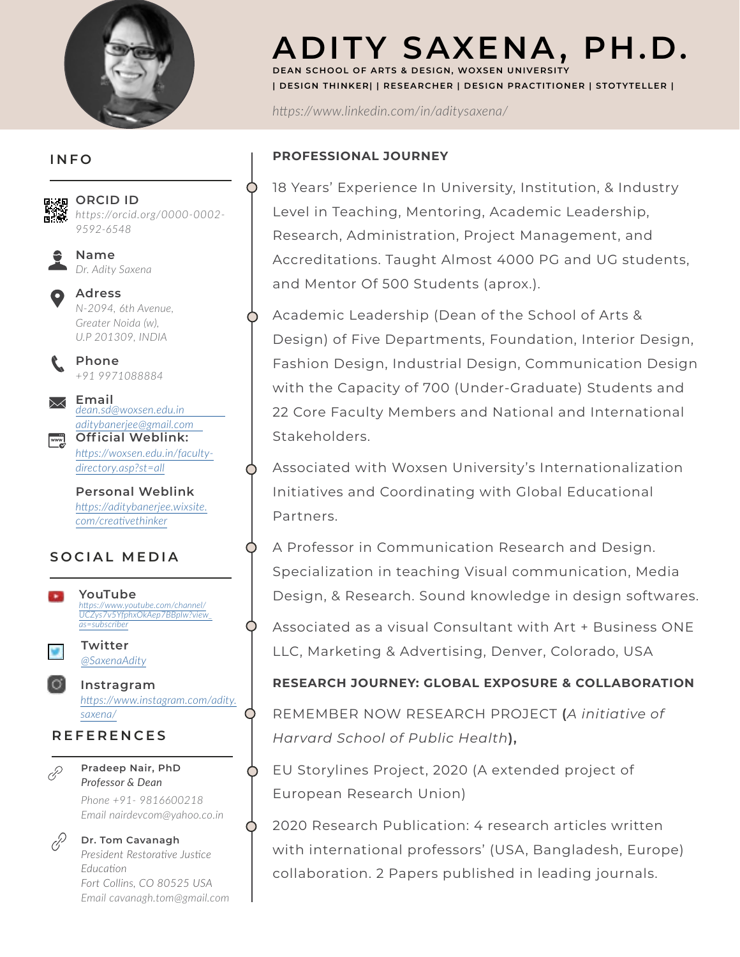

# **ADITY SAXENA, PH.D. DEAN SCHOOL OF ARTS & DESIGN, WOXSEN UNIVERSITY**

**| DESIGN THINKER| | RESEARCHER | DESIGN PRACTITIONER | STOTYTELLER |**

*https://www.linkedin.com/in/aditysaxena/*

## **PROFESSIONAL JOURNEY**

O

O

◯

18 Years' Experience In University, Institution, & Industry Level in Teaching, Mentoring, Academic Leadership, Research, Administration, Project Management, and Accreditations. Taught Almost 4000 PG and UG students, and Mentor Of 500 Students (aprox.).

Academic Leadership (Dean of the School of Arts & Design) of Five Departments, Foundation, Interior Design, Fashion Design, Industrial Design, Communication Design with the Capacity of 700 (Under-Graduate) Students and 22 Core Faculty Members and National and International Stakeholders.

Associated with Woxsen University's Internationalization Initiatives and Coordinating with Global Educational Partners.

A Professor in Communication Research and Design. Specialization in teaching Visual communication, Media Design, & Research. Sound knowledge in design softwares.

Associated as a visual Consultant with Art + Business ONE LLC, Marketing & Advertising, Denver, Colorado, USA

**RESEARCH JOURNEY: GLOBAL EXPOSURE & COLLABORATION**

REMEMBER NOW RESEARCH PROJECT **(***A initiative of Harvard School of Public Health***),** 

EU Storylines Project, 2020 (A extended project of European Research Union)

2020 Research Publication: 4 research articles written with international professors' (USA, Bangladesh, Europe) collaboration. 2 Papers published in leading journals.

**INFO**



*https://orcid.org/0000-0002- 9592-6548*

**Name** *Dr. Adity Saxena*

**Adress** *N-2094, 6th Avenue, Greater Noida (w), U.P 201309, INDIA* 

**Phone** *+91 9971088884*

**Email**  *[dean.sd@woxsen.edu.in](mailto:dean.sd@woxsen.edu.in )  [aditybanerjee@gmail.com](mailto:dean.sd@woxsen.edu.in )*  **Official Weblink:**  $\mathbb{Z}$ 

*https://woxsen.edu.in/facultydirectory.asp?st=all*

**Personal Weblink** *[https://aditybanerjee.wixsite.](https://aditybanerjee.wixsite.com/creativethinker) [com/creativethinker](https://aditybanerjee.wixsite.com/creativethinker)*

# **SOCIAL MEDIA**



*Fort Collins, CO 80525 USA Email cavanagh.tom@gmail.com*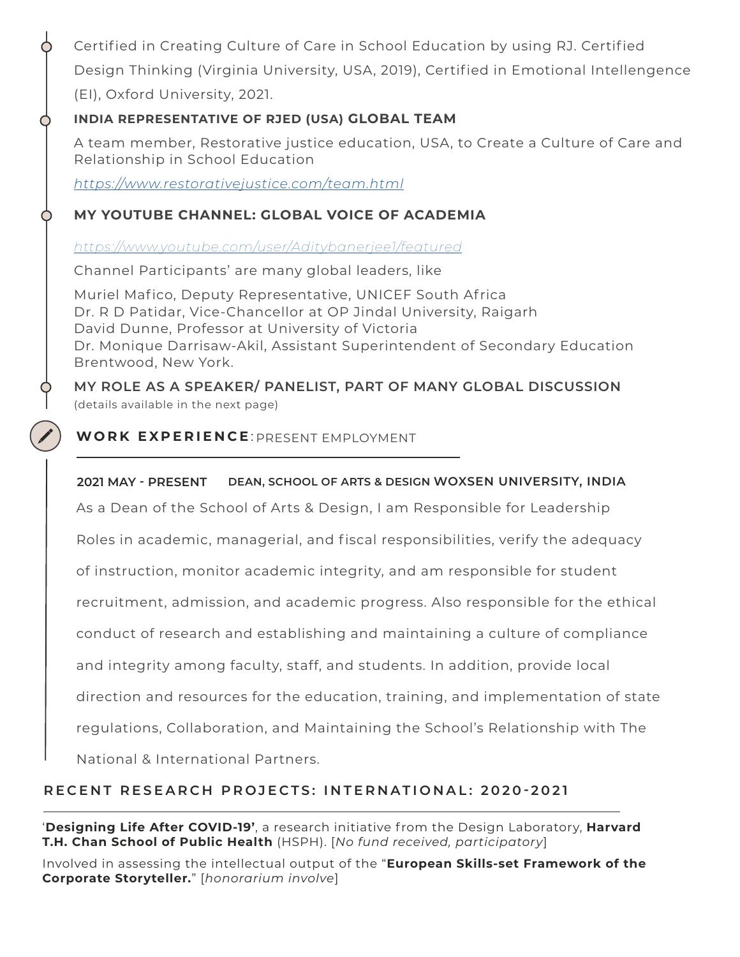Certified in Creating Culture of Care in School Education by using RJ. Certified Design Thinking (Virginia University, USA, 2019), Certified in Emotional Intellengence (EI), Oxford University, 2021.

## **INDIA REPRESENTATIVE OF RJED (USA) GLOBAL TEAM**

A team member, Restorative justice education, USA, to Create a Culture of Care and Relationship in School Education

*[https: //www.restorativejustice.com/team.html](https://www.restorativejustice.com/team.html )*

С

## **MY YOUTUBE CHANNEL: GLOBAL VOICE OF ACADEMIA**

*[https: //www.youtube.com/user/Aditybanerjee1/featured](https://www.youtube.com/user/Aditybanerjee1/featured )*

Channel Participants' are many global leaders, like

Muriel Mafico, Deputy Representative, UNICEF South Africa Dr. R D Patidar, Vice-Chancellor at OP Jindal University, Raigarh David Dunne, Professor at University of Victoria Dr. Monique Darrisaw-Akil, Assistant Superintendent of Secondary Education Brentwood, New York.

**MY ROLE AS A SPEAKER/ PANELIST, PART OF MANY GLOBAL DISCUSSION**  (details available in the next page)

## WORK EXPERIENCE: PRESENT EMPLOYMENT

### **2021 MAY - PRESENT DEAN, SCHOOL OF ARTS & DESIGN WOXSEN UNIVERSITY, INDIA**

As a Dean of the School of Arts & Design, I am Responsible for Leadership

Roles in academic, managerial, and fiscal responsibilities, verify the adequacy

of instruction, monitor academic integrity, and am responsible for student

recruitment, admission, and academic progress. Also responsible for the ethical

conduct of research and establishing and maintaining a culture of compliance

and integrity among faculty, staff, and students. In addition, provide local

direction and resources for the education, training, and implementation of state

regulations, Collaboration, and Maintaining the School's Relationship with The

National & International Partners.

# **RECENT RESEARCH PROJECTS: INTERNATIONAL: 2020-2021**

'**Designing Life After COVID-19'**, a research initiative from the Design Laboratory, **Harvard T.H. Chan School of Public Health** (HSPH). [*No fund received, participatory*]

Involved in assessing the intellectual output of the "**European Skills-set Framework of the [C](https://drive.google.com/file/d/1qICUsd6DQOYE_Q6AD5wnVShZWS-0jOkH/view?usp=sharing  )orporate Storyteller.**" [*honorarium involve*]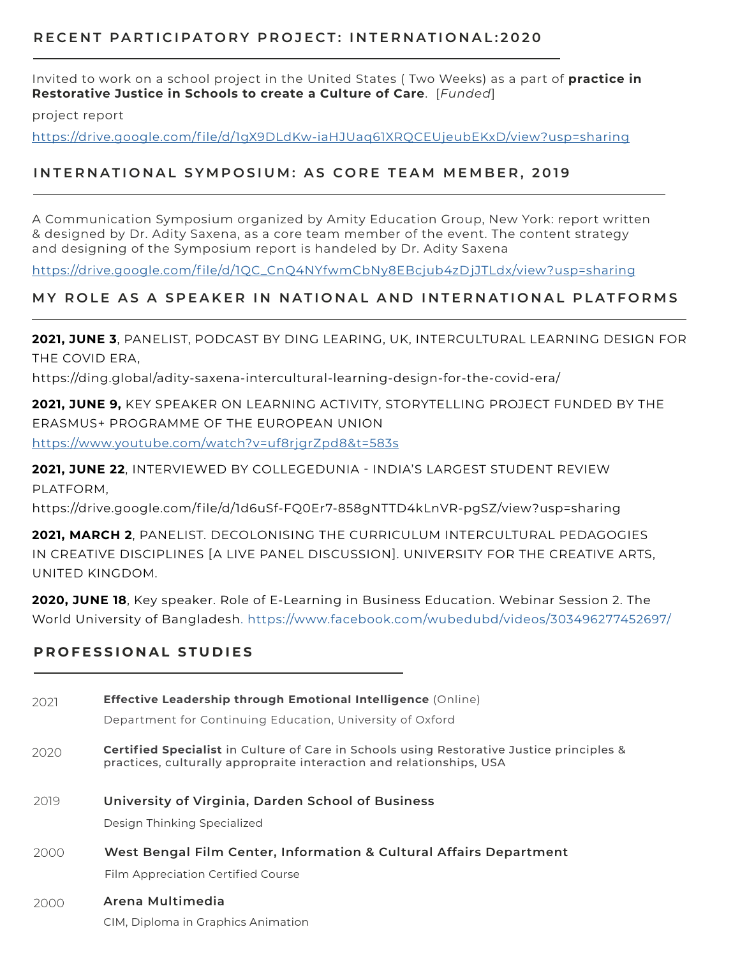#### **RECENT PARTICIPATORY PROJECT: INTERNATIONAL:2020**

Invited to work on a school project in the United States ( Two Weeks) as a part of **practice in Restorative Justice in Schools to create a Culture of Care**. [*Funded*]

project report

[https://drive.google.com/file/d/1gX9DLdKw-iaHJUaq61XRQCEUjeubEKxD/view?usp=sharing](https://drive.google.com/file/d/1gX9DLdKw-iaHJUaq61XRQCEUjeubEKxD/view?usp=sharing )

### **INTERNATIONAL SYMPOSIUM: AS CORE TEAM MEMBER, 2019**

A Communication Symposium organized by Amity Education Group, New York: report written & designed by Dr. Adity Saxena, as a core team member of the event. The content strategy and designing of the Symposium report is handeled by Dr. Adity Saxena

[https://drive.google.com/file/d/1QC\\_CnQ4NYfwmCbNy8EBcjub4zDjJTLdx/view?usp=sharing](https://drive.google.com/file/d/1QC_CnQ4NYfwmCbNy8EBcjub4zDjJTLdx/view?usp=sharing )

### **MY ROLE AS A SPEAKER IN NATIONAL AND INTERNATIONAL PLATFORMS**

**2021, JUNE 3**, PANELIST, PODCAST BY DING LEARING, UK, INTERCULTURAL LEARNING DESIGN FOR THE COVID ERA,

https://ding.global/adity-saxena-intercultural-learning-design-for-the-covid-era/

**2021, JUNE 9,** KEY SPEAKER ON LEARNING ACTIVITY, STORYTELLING PROJECT FUNDED BY THE ERASMUS+ PROGRAMME OF THE EUROPEAN UNION

[https://www.youtube.com/watch?v=uf8rjgrZpd8&t=583s](https://www.youtube.com/watch?v=uf8rjgrZpd8&t=583s )

**2021, JUNE 22**[, INTERVIEWED BY COLLEGEDUNIA - INDIA'S LARGEST STUDENT REVIEW](https://www.youtube.com/watch?v=uf8rjgrZpd8&t=583s )  [PLATFORM,](https://www.youtube.com/watch?v=uf8rjgrZpd8&t=583s ) 

[https://drive.google.com/file/d/1d6uSf-FQ0Er7-858gNTTD4kLnVR-pgSZ/view?usp=sharing](https://www.youtube.com/watch?v=uf8rjgrZpd8&t=583s )

**2021, MARCH 2**, PANELIST. DECOLONISING THE CURRICULUM INTERCULTURAL PEDAGOGIES IN CREATIVE DISCIPLINES [A LIVE PANEL DISCUSSION]. UNIVERSITY FOR THE CREATIVE ARTS, UNITED KINGDOM.

**2020, JUNE 18**, Key speaker. Role of E-Learning in Business Education. Webinar Session 2. The World University of Bangladesh. https://www.facebook.com/wubedubd/videos/303496277452697/

#### **PROFESSIONAL STUDIES**

| 2021 | <b>Effective Leadership through Emotional Intelligence (Online)</b><br>Department for Continuing Education, University of Oxford                                         |
|------|--------------------------------------------------------------------------------------------------------------------------------------------------------------------------|
| 2020 | <b>Certified Specialist</b> in Culture of Care in Schools using Restorative Justice principles &<br>practices, culturally appropraite interaction and relationships, USA |
| 2019 | University of Virginia, Darden School of Business<br>Design Thinking Specialized                                                                                         |
| 2000 | West Bengal Film Center, Information & Cultural Affairs Department<br>Film Appreciation Certified Course                                                                 |

#### **Arena Multimedia** 2000

CIM, Diploma in Graphics Animation